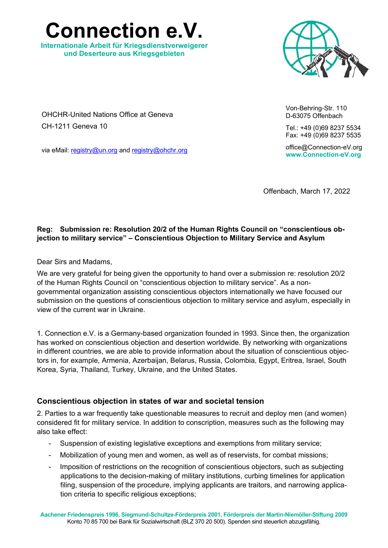**Connection e.V.** 

**Internationale Arbeit für Kriegsdienstverweigerer und Deserteure aus Kriegsgebieten** 



OHCHR-United Nations Office at Geneva CH-1211 Geneva 10

via eMail: registry@un.org and registry@ohchr.org

Von-Behring-Str. 110 D-63075 Offenbach

Tel.: +49 (0)69 8237 5534 Fax: +49 (0)69 8237 5535

office@Connection-eV.org **www.Connection-eV.org** 

Offenbach, March 17, 2022

### **Reg: Submission re: Resolution 20/2 of the Human Rights Council on "conscientious objection to military service" – Conscientious Objection to Military Service and Asylum**

Dear Sirs and Madams,

We are very grateful for being given the opportunity to hand over a submission re: resolution 20/2 of the Human Rights Council on "conscientious objection to military service". As a nongovernmental organization assisting conscientious objectors internationally we have focused our submission on the questions of conscientious objection to military service and asylum, especially in view of the current war in Ukraine.

1. Connection e.V. is a Germany-based organization founded in 1993. Since then, the organization has worked on conscientious objection and desertion worldwide. By networking with organizations in different countries, we are able to provide information about the situation of conscientious objectors in, for example, Armenia, Azerbaijan, Belarus, Russia, Colombia, Egypt, Eritrea, Israel, South Korea, Syria, Thailand, Turkey, Ukraine, and the United States.

## **Conscientious objection in states of war and societal tension**

2. Parties to a war frequently take questionable measures to recruit and deploy men (and women) considered fit for military service. In addition to conscription, measures such as the following may also take effect:

- Suspension of existing legislative exceptions and exemptions from military service;
- Mobilization of young men and women, as well as of reservists, for combat missions;
- Imposition of restrictions on the recognition of conscientious objectors, such as subjecting applications to the decision-making of military institutions, curbing timelines for application filing, suspension of the procedure, implying applicants are traitors, and narrowing application criteria to specific religious exceptions;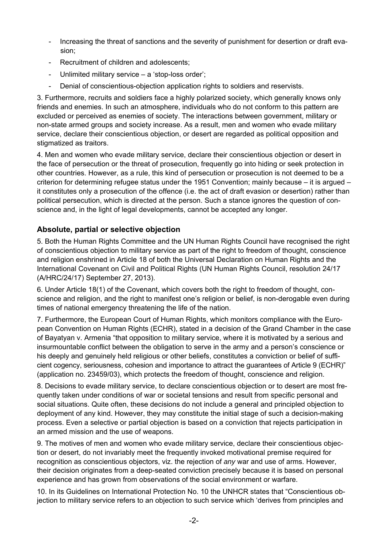- Increasing the threat of sanctions and the severity of punishment for desertion or draft evasion;
- Recruitment of children and adolescents;
- Unlimited military service a 'stop-loss order';
- Denial of conscientious-objection application rights to soldiers and reservists.

3. Furthermore, recruits and soldiers face a highly polarized society, which generally knows only friends and enemies. In such an atmosphere, individuals who do not conform to this pattern are excluded or perceived as enemies of society. The interactions between government, military or non-state armed groups and society increase. As a result, men and women who evade military service, declare their conscientious objection, or desert are regarded as political opposition and stigmatized as traitors.

4. Men and women who evade military service, declare their conscientious objection or desert in the face of persecution or the threat of prosecution, frequently go into hiding or seek protection in other countries. However, as a rule, this kind of persecution or prosecution is not deemed to be a criterion for determining refugee status under the 1951 Convention; mainly because – it is argued – it constitutes only a prosecution of the offence (i.e. the act of draft evasion or desertion) rather than political persecution, which is directed at the person. Such a stance ignores the question of conscience and, in the light of legal developments, cannot be accepted any longer.

## **Absolute, partial or selective objection**

5. Both the Human Rights Committee and the UN Human Rights Council have recognised the right of conscientious objection to military service as part of the right to freedom of thought, conscience and religion enshrined in Article 18 of both the Universal Declaration on Human Rights and the International Covenant on Civil and Political Rights (UN Human Rights Council, resolution 24/17 (A/HRC/24/17) September 27, 2013).

6. Under Article 18(1) of the Covenant, which covers both the right to freedom of thought, conscience and religion, and the right to manifest one's religion or belief, is non-derogable even during times of national emergency threatening the life of the nation.

7. Furthermore, the European Court of Human Rights, which monitors compliance with the European Convention on Human Rights (ECHR), stated in a decision of the Grand Chamber in the case of Bayatyan v. Armenia "that opposition to military service, where it is motivated by a serious and insurmountable conflict between the obligation to serve in the army and a person's conscience or his deeply and genuinely held religious or other beliefs, constitutes a conviction or belief of sufficient cogency, seriousness, cohesion and importance to attract the guarantees of Article 9 (ECHR)" (application no. 23459/03), which protects the freedom of thought, conscience and religion.

8. Decisions to evade military service, to declare conscientious objection or to desert are most frequently taken under conditions of war or societal tensions and result from specific personal and social situations. Quite often, these decisions do not include a general and principled objection to deployment of any kind. However, they may constitute the initial stage of such a decision-making process. Even a selective or partial objection is based on a conviction that rejects participation in an armed mission and the use of weapons.

9. The motives of men and women who evade military service, declare their conscientious objection or desert, do not invariably meet the frequently invoked motivational premise required for recognition as conscientious objectors, viz. the rejection of *any* war and use of arms. However, their decision originates from a deep-seated conviction precisely because it is based on personal experience and has grown from observations of the social environment or warfare.

10. In its Guidelines on International Protection No. 10 the UNHCR states that "Conscientious objection to military service refers to an objection to such service which 'derives from principles and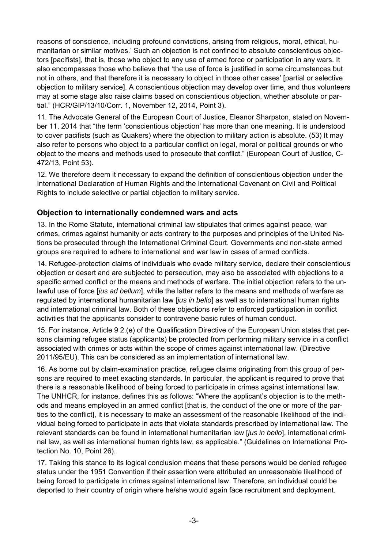reasons of conscience, including profound convictions, arising from religious, moral, ethical, humanitarian or similar motives.' Such an objection is not confined to absolute conscientious objectors [pacifists], that is, those who object to any use of armed force or participation in any wars. It also encompasses those who believe that 'the use of force is justified in some circumstances but not in others, and that therefore it is necessary to object in those other cases' [partial or selective objection to military service]. A conscientious objection may develop over time, and thus volunteers may at some stage also raise claims based on conscientious objection, whether absolute or partial." (HCR/GIP/13/10/Corr. 1, November 12, 2014, Point 3).

11. The Advocate General of the European Court of Justice, Eleanor Sharpston, stated on November 11, 2014 that "the term 'conscientious objection' has more than one meaning. It is understood to cover pacifists (such as Quakers) where the objection to military action is absolute. (53) It may also refer to persons who object to a particular conflict on legal, moral or political grounds or who object to the means and methods used to prosecute that conflict." (European Court of Justice, C-472/13, Point 53).

12. We therefore deem it necessary to expand the definition of conscientious objection under the International Declaration of Human Rights and the International Covenant on Civil and Political Rights to include selective or partial objection to military service.

# **Objection to internationally condemned wars and acts**

13. In the Rome Statute, international criminal law stipulates that crimes against peace, war crimes, crimes against humanity or acts contrary to the purposes and principles of the United Nations be prosecuted through the International Criminal Court. Governments and non-state armed groups are required to adhere to international and war law in cases of armed conflicts.

14. Refugee-protection claims of individuals who evade military service, declare their conscientious objection or desert and are subjected to persecution, may also be associated with objections to a specific armed conflict or the means and methods of warfare. The initial objection refers to the unlawful use of force [*jus ad bellum*], while the latter refers to the means and methods of warfare as regulated by international humanitarian law [*jus in bello*] as well as to international human rights and international criminal law. Both of these objections refer to enforced participation in conflict activities that the applicants consider to contravene basic rules of human conduct.

15. For instance, Article 9 2.(e) of the Qualification Directive of the European Union states that persons claiming refugee status (applicants) be protected from performing military service in a conflict associated with crimes or acts within the scope of crimes against international law. (Directive 2011/95/EU). This can be considered as an implementation of international law.

16. As borne out by claim-examination practice, refugee claims originating from this group of persons are required to meet exacting standards. In particular, the applicant is required to prove that there is a reasonable likelihood of being forced to participate in crimes against international law. The UNHCR, for instance, defines this as follows: "Where the applicant's objection is to the methods and means employed in an armed conflict [that is, the conduct of the one or more of the parties to the conflict], it is necessary to make an assessment of the reasonable likelihood of the individual being forced to participate in acts that violate standards prescribed by international law. The relevant standards can be found in international humanitarian law [*jus in bello*], international criminal law, as well as international human rights law, as applicable." (Guidelines on International Protection No. 10, Point 26).

17. Taking this stance to its logical conclusion means that these persons would be denied refugee status under the 1951 Convention if their assertion were attributed an unreasonable likelihood of being forced to participate in crimes against international law. Therefore, an individual could be deported to their country of origin where he/she would again face recruitment and deployment.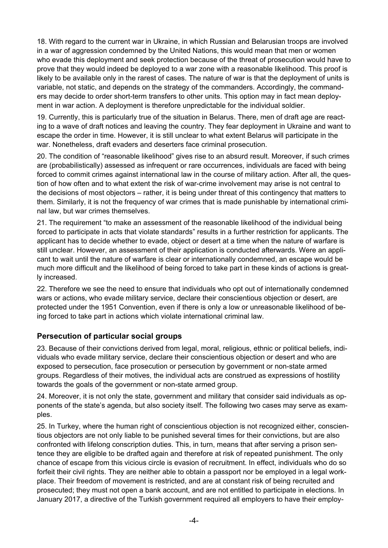18. With regard to the current war in Ukraine, in which Russian and Belarusian troops are involved in a war of aggression condemned by the United Nations, this would mean that men or women who evade this deployment and seek protection because of the threat of prosecution would have to prove that they would indeed be deployed to a war zone with a reasonable likelihood. This proof is likely to be available only in the rarest of cases. The nature of war is that the deployment of units is variable, not static, and depends on the strategy of the commanders. Accordingly, the commanders may decide to order short-term transfers to other units. This option may in fact mean deployment in war action. A deployment is therefore unpredictable for the individual soldier.

19. Currently, this is particularly true of the situation in Belarus. There, men of draft age are reacting to a wave of draft notices and leaving the country. They fear deployment in Ukraine and want to escape the order in time. However, it is still unclear to what extent Belarus will participate in the war. Nonetheless, draft evaders and deserters face criminal prosecution.

20. The condition of "reasonable likelihood" gives rise to an absurd result. Moreover, if such crimes are (probabilistically) assessed as infrequent or rare occurrences, individuals are faced with being forced to commit crimes against international law in the course of military action. After all, the question of how often and to what extent the risk of war-crime involvement may arise is not central to the decisions of most objectors – rather, it is being under threat of this contingency that matters to them. Similarly, it is not the frequency of war crimes that is made punishable by international criminal law, but war crimes themselves.

21. The requirement "to make an assessment of the reasonable likelihood of the individual being forced to participate in acts that violate standards" results in a further restriction for applicants. The applicant has to decide whether to evade, object or desert at a time when the nature of warfare is still unclear. However, an assessment of their application is conducted afterwards. Were an applicant to wait until the nature of warfare is clear or internationally condemned, an escape would be much more difficult and the likelihood of being forced to take part in these kinds of actions is greatly increased.

22. Therefore we see the need to ensure that individuals who opt out of internationally condemned wars or actions, who evade military service, declare their conscientious objection or desert, are protected under the 1951 Convention, even if there is only a low or unreasonable likelihood of being forced to take part in actions which violate international criminal law.

## **Persecution of particular social groups**

23. Because of their convictions derived from legal, moral, religious, ethnic or political beliefs, individuals who evade military service, declare their conscientious objection or desert and who are exposed to persecution, face prosecution or persecution by government or non-state armed groups. Regardless of their motives, the individual acts are construed as expressions of hostility towards the goals of the government or non-state armed group.

24. Moreover, it is not only the state, government and military that consider said individuals as opponents of the state's agenda, but also society itself. The following two cases may serve as examples.

25. In Turkey, where the human right of conscientious objection is not recognized either, conscientious objectors are not only liable to be punished several times for their convictions, but are also confronted with lifelong conscription duties. This, in turn, means that after serving a prison sentence they are eligible to be drafted again and therefore at risk of repeated punishment. The only chance of escape from this vicious circle is evasion of recruitment. In effect, individuals who do so forfeit their civil rights. They are neither able to obtain a passport nor be employed in a legal workplace. Their freedom of movement is restricted, and are at constant risk of being recruited and prosecuted; they must not open a bank account, and are not entitled to participate in elections. In January 2017, a directive of the Turkish government required all employers to have their employ-